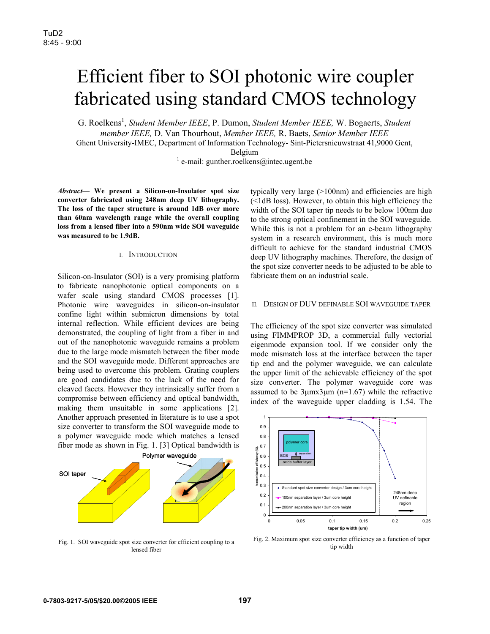# Efficient fiber to SOI photonic wire coupler fabricated using standard CMOS technology

G. Roelkens<sup>1</sup>, *Student Member IEEE*, P. Dumon, *Student Member IEEE*, W. Bogaerts, *Student member IEEE,* D. Van Thourhout, *Member IEEE,* R. Baets, *Senior Member IEEE* 

Ghent University-IMEC, Department of Information Technology- Sint-Pietersnieuwstraat 41,9000 Gent,

Belgium<br>
<sup>1</sup> e-mail: gunther.roelkens@intec.ugent.be

*Abstract***— We present a Silicon-on-Insulator spot size converter fabricated using 248nm deep UV lithography. The loss of the taper structure is around 1dB over more than 60nm wavelength range while the overall coupling loss from a lensed fiber into a 590nm wide SOI waveguide was measured to be 1.9dB.**

### I. INTRODUCTION

Silicon-on-Insulator (SOI) is a very promising platform to fabricate nanophotonic optical components on a wafer scale using standard CMOS processes [1]. Photonic wire waveguides in silicon-on-insulator confine light within submicron dimensions by total internal reflection. While efficient devices are being demonstrated, the coupling of light from a fiber in and out of the nanophotonic waveguide remains a problem due to the large mode mismatch between the fiber mode and the SOI waveguide mode. Different approaches are being used to overcome this problem. Grating couplers are good candidates due to the lack of the need for cleaved facets. However they intrinsically suffer from a compromise between efficiency and optical bandwidth, making them unsuitable in some applications [2]. Another approach presented in literature is to use a spot size converter to transform the SOI waveguide mode to a polymer waveguide mode which matches a lensed fiber mode as shown in Fig. 1. [3] Optical bandwidth is



Fig. 1. SOI waveguide spot size converter for efficient coupling to a lensed fiber

typically very large (>100nm) and efficiencies are high (<1dB loss). However, to obtain this high efficiency the width of the SOI taper tip needs to be below 100nm due to the strong optical confinement in the SOI waveguide. While this is not a problem for an e-beam lithography system in a research environment, this is much more difficult to achieve for the standard industrial CMOS deep UV lithography machines. Therefore, the design of the spot size converter needs to be adjusted to be able to fabricate them on an industrial scale.

### II. DESIGN OF DUV DEFINABLE SOI WAVEGUIDE TAPER

The efficiency of the spot size converter was simulated using FIMMPROP 3D, a commercial fully vectorial eigenmode expansion tool. If we consider only the mode mismatch loss at the interface between the taper tip end and the polymer waveguide, we can calculate the upper limit of the achievable efficiency of the spot size converter. The polymer waveguide core was assumed to be  $3\mu$ mx $3\mu$ m (n=1.67) while the refractive index of the waveguide upper cladding is 1.54. The



Fig. 2. Maximum spot size converter efficiency as a function of taper tip width